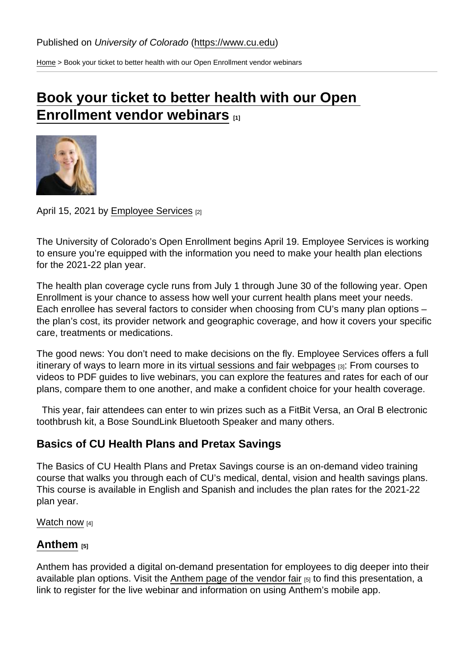[Home](https://www.cu.edu/) > Book your ticket to better health with our Open Enrollment vendor webinars

# [Book your ticket to better health with our Open](https://www.cu.edu/blog/work-life/book-your-ticket-better-health-our-open-enrollment-vendor-webinars)   $\overline{\text{Enrolling}}$   $\overline{\text{Enrolling}}$   $\overline{\text{Ining}}$

## April 15, 2021 by [Employee Services](https://www.cu.edu/blog/work-life/author/34887) [2]

The University of Colorado's Open Enrollment begins April 19. Employee Services is working to ensure you're equipped with the information you need to make your health plan elections for the 2021-22 plan year.

The health plan coverage cycle runs from July 1 through June 30 of the following year. Open Enrollment is your chance to assess how well your current health plans meet your needs. Each enrollee has several factors to consider when choosing from CU's many plan options – the plan's cost, its provider network and geographic coverage, and how it covers your specific care, treatments or medications.

The good news: You don't need to make decisions on the fly. Employee Services offers a full itinerary of ways to learn more in its [virtual sessions and fair webpages](https://www.cu.edu/employee-services/open-enrollment/sessions) [3]: From courses to videos to PDF guides to live webinars, you can explore the features and rates for each of our plans, compare them to one another, and make a confident choice for your health coverage.

 This year, fair attendees can enter to win prizes such as a FitBit Versa, an Oral B electronic toothbrush kit, a Bose SoundLink Bluetooth Speaker and many others.

# Basics of CU Health Plans and Pretax Savings

The Basics of CU Health Plans and Pretax Savings course is an on-demand video training course that walks you through each of CU's medical, dental, vision and health savings plans. This course is available in English and Spanish and includes the plan rates for the 2021-22 plan year.

## [Watch now](https://www.cu.edu/employee-services/benefits-wellness/basics-cu-health-plans-and-pretax-savings ) [4]

# [Anthem](https://www.cu.edu/employee-services/open-enrollment/sessions-fairs/anthem-blue-cross-blue-shield)  $_{[5]}$

Anthem has provided a digital on-demand presentation for employees to dig deeper into their available plan options. Visit the [Anthem page of the vendor fair](https://www.cu.edu/employee-services/open-enrollment/sessions-fairs/anthem-blue-cross-blue-shield) [5] to find this presentation, a link to register for the live webinar and information on using Anthem's mobile app.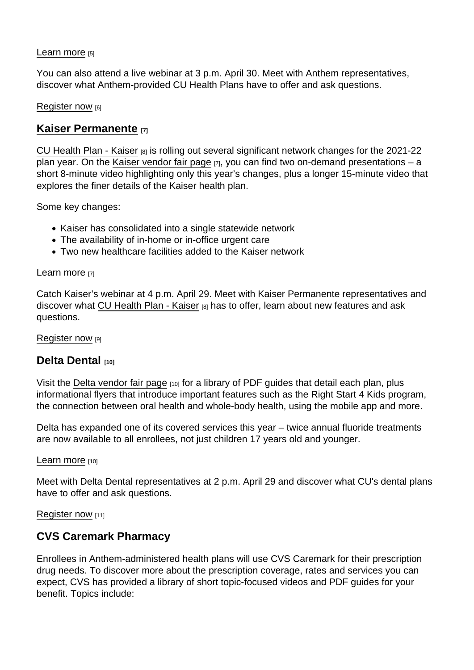## [Learn more](https://www.cu.edu/employee-services/open-enrollment/sessions-fairs/anthem-blue-cross-blue-shield) [5]

You can also attend a live webinar at 3 p.m. April 30. Meet with Anthem representatives, discover what Anthem-provided CU Health Plans have to offer and ask questions.

## [Register now](https://cusystem.zoom.us/webinar/register/WN_2ve0SUYzSYCy8mn4xg7P3w) [6]

## [Kaiser Permanente](https://www.cu.edu/employee-services/open-enrollment/sessions-fairs/kaiser-permanente) [7]

[CU Health Plan - Kaiser](https://www.cu.edu/employee-services/open-enrollment/current-employees/medical-plans/kaiser) [8] is rolling out several significant network changes for the 2021-22 plan year. On the [Kaiser vendor fair page](https://www.cu.edu/employee-services/open-enrollment/sessions-fairs/kaiser-permanente)  $[7]$ , you can find two on-demand presentations – a short 8-minute video highlighting only this year's changes, plus a longer 15-minute video that explores the finer details of the Kaiser health plan.

Some key changes:

- Kaiser has consolidated into a single statewide network
- The availability of in-home or in-office urgent care
- Two new healthcare facilities added to the Kaiser network

#### [Learn more](https://www.cu.edu/employee-services/open-enrollment/sessions-fairs/kaiser-permanente) [7]

Catch Kaiser's webinar at 4 p.m. April 29. Meet with Kaiser Permanente representatives and discover what [CU Health Plan - Kaiser](https://www.cu.edu/employee-services/open-enrollment/current-employees/medical-plans/kaiser) [8] has to offer, learn about new features and ask questions.

[Register now](https://cusystem.zoom.us/webinar/register/WN_gsTnzIRrQEmPUDh4NoNiOw) [9]

## [Delta Dental](https://www.cu.edu/employee-services/open-enrollment/sessions-fairs/delta-dental) [10]

Visit the [Delta vendor fair page](https://www.cu.edu/employee-services/open-enrollment/sessions-fairs/delta-dental) [10] for a library of PDF guides that detail each plan, plus informational flyers that introduce important features such as the Right Start 4 Kids program, the connection between oral health and whole-body health, using the mobile app and more.

Delta has expanded one of its covered services this year – twice annual fluoride treatments are now available to all enrollees, not just children 17 years old and younger.

#### [Learn more](https://www.cu.edu/employee-services/open-enrollment/sessions-fairs/delta-dental) [10]

Meet with Delta Dental representatives at 2 p.m. April 29 and discover what CU's dental plans have to offer and ask questions.

#### [Register now](https://cusystem.zoom.us/webinar/register/WN_22Kjc1AuTHOOmw0LDgYgzQ) [11]

# CVS Caremark Pharmacy

Enrollees in Anthem-administered health plans will use CVS Caremark for their prescription drug needs. To discover more about the prescription coverage, rates and services you can expect, CVS has provided a library of short topic-focused videos and PDF guides for your benefit. Topics include: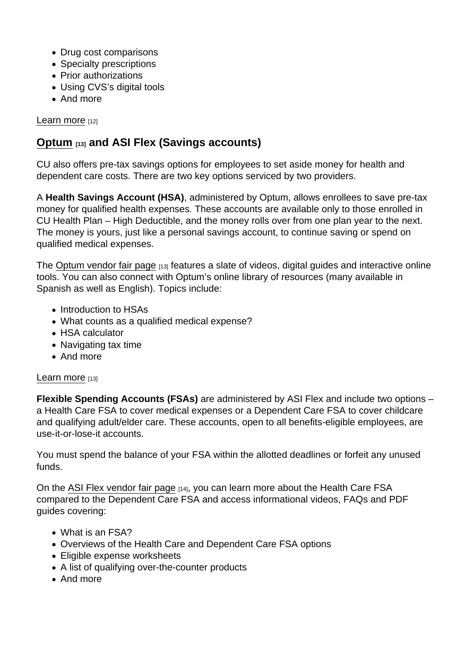- Drug cost comparisons
- Specialty prescriptions
- Prior authorizations
- Using CVS's digital tools
- And more

## [Learn more](https://www.cu.edu/employee-services/open-enrollment/sessions-fairs/cvs-caremark) [12]

# [Optum](https://www.cu.edu/employee-services/open-enrollment/sessions-fairs/optum) [13] and ASI Flex (Savings accounts)

CU also offers pre-tax savings options for employees to set aside money for health and dependent care costs. There are two key options serviced by two providers.

A Health Savings Account (HSA) , administered by Optum, allows enrollees to save pre-tax money for qualified health expenses. These accounts are available only to those enrolled in CU Health Plan – High Deductible, and the money rolls over from one plan year to the next. The money is yours, just like a personal savings account, to continue saving or spend on qualified medical expenses.

The [Optum vendor fair page](https://www.cu.edu/employee-services/open-enrollment/sessions-fairs/optum) [13] features a slate of videos, digital guides and interactive online tools. You can also connect with Optum's online library of resources (many available in Spanish as well as English). Topics include:

- Introduction to HSAs
- What counts as a qualified medical expense?
- HSA calculator
- Navigating tax time
- And more

## [Learn more](https://www.cu.edu/employee-services/open-enrollment/sessions-fairs/optum) [13]

Flexible Spending Accounts (FSAs) are administered by ASI Flex and include two options – a Health Care FSA to cover medical expenses or a Dependent Care FSA to cover childcare and qualifying adult/elder care. These accounts, open to all benefits-eligible employees, are use-it-or-lose-it accounts.

You must spend the balance of your FSA within the allotted deadlines or forfeit any unused funds.

On the [ASI Flex vendor fair page](https://www.cu.edu/employee-services/open-enrollment/sessions-fairs/asi-flex) [14], you can learn more about the Health Care FSA compared to the Dependent Care FSA and access informational videos, FAQs and PDF guides covering:

- What is an FSA?
- Overviews of the Health Care and Dependent Care FSA options
- Eligible expense worksheets
- A list of qualifying over-the-counter products
- And more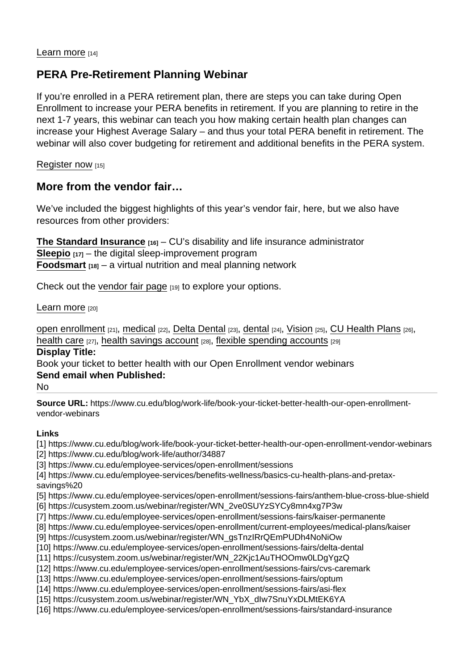## [Learn more](https://www.cu.edu/employee-services/open-enrollment/sessions-fairs/asi-flex) [14]

# PERA Pre-Retirement Planning Webinar

If you're enrolled in a PERA retirement plan, there are steps you can take during Open Enrollment to increase your PERA benefits in retirement. If you are planning to retire in the next 1-7 years, this webinar can teach you how making certain health plan changes can increase your Highest Average Salary – and thus your total PERA benefit in retirement. The webinar will also cover budgeting for retirement and additional benefits in the PERA system.

[Register now](https://cusystem.zoom.us/webinar/register/WN_YbX_dIw7SnuYxDLMtEK6YA) [15]

More from the vendor fair…

We've included the biggest highlights of this year's vendor fair, here, but we also have resources from other providers:

[The Standard Insurance](https://www.cu.edu/employee-services/open-enrollment/sessions-fairs/standard-insurance)  $_{[16]}$  – CU's disability and life insurance administrator [Sleepio](https://www.cu.edu/employee-services/open-enrollment/sessions-fairs/sleepio)  $[17]$  – the digital sleep-improvement program [Foodsmart](https://www.cu.edu/open-enrollment/sessions-fairs/foodsmart)  $_{[18]}$  – a virtual nutrition and meal planning network

Check out the [vendor fair page](https://www.cu.edu/employee-services/open-enrollment-sessions-fairs) [19] to explore your options.

#### [Learn more](https://www.cu.edu/) [20]

[open enrollment](https://www.cu.edu/blog/work-life/tag/open-enrollment) [21], [medical](https://www.cu.edu/blog/work-life/tag/medical) [22], [Delta Dental](https://www.cu.edu/blog/work-life/tag/delta-dental) [23], [dental](https://www.cu.edu/blog/work-life/tag/dental) [24], [Vision](https://www.cu.edu/blog/work-life/tag/vision) [25], [CU Health Plans](https://www.cu.edu/blog/work-life/tag/cu-health-plans) [26], [health care](https://www.cu.edu/blog/work-life/tag/health-care) [27], [health savings account](https://www.cu.edu/blog/work-life/tag/health-savings-account) [28], [flexible spending accounts](https://www.cu.edu/blog/work-life/tag/flexible-spending-accounts) [29] Display Title:

Book your ticket to better health with our Open Enrollment vendor webinars Send email when Published:

No

Source URL: https://www.cu.edu/blog/work-life/book-your-ticket-better-health-our-open-enrollmentvendor-webinars

Links

[1] https://www.cu.edu/blog/work-life/book-your-ticket-better-health-our-open-enrollment-vendor-webinars [2] https://www.cu.edu/blog/work-life/author/34887

[3] https://www.cu.edu/employee-services/open-enrollment/sessions

[4] https://www.cu.edu/employee-services/benefits-wellness/basics-cu-health-plans-and-pretaxsavings%20

[5] https://www.cu.edu/employee-services/open-enrollment/sessions-fairs/anthem-blue-cross-blue-shield

- [6] https://cusystem.zoom.us/webinar/register/WN\_2ve0SUYzSYCy8mn4xg7P3w
- [7] https://www.cu.edu/employee-services/open-enrollment/sessions-fairs/kaiser-permanente
- [8] https://www.cu.edu/employee-services/open-enrollment/current-employees/medical-plans/kaiser
- [9] https://cusystem.zoom.us/webinar/register/WN\_gsTnzIRrQEmPUDh4NoNiOw
- [10] https://www.cu.edu/employee-services/open-enrollment/sessions-fairs/delta-dental
- [11] https://cusystem.zoom.us/webinar/register/WN\_22Kjc1AuTHOOmw0LDgYgzQ
- [12] https://www.cu.edu/employee-services/open-enrollment/sessions-fairs/cvs-caremark
- [13] https://www.cu.edu/employee-services/open-enrollment/sessions-fairs/optum
- [14] https://www.cu.edu/employee-services/open-enrollment/sessions-fairs/asi-flex
- [15] https://cusystem.zoom.us/webinar/register/WN\_YbX\_dIw7SnuYxDLMtEK6YA
- [16] https://www.cu.edu/employee-services/open-enrollment/sessions-fairs/standard-insurance